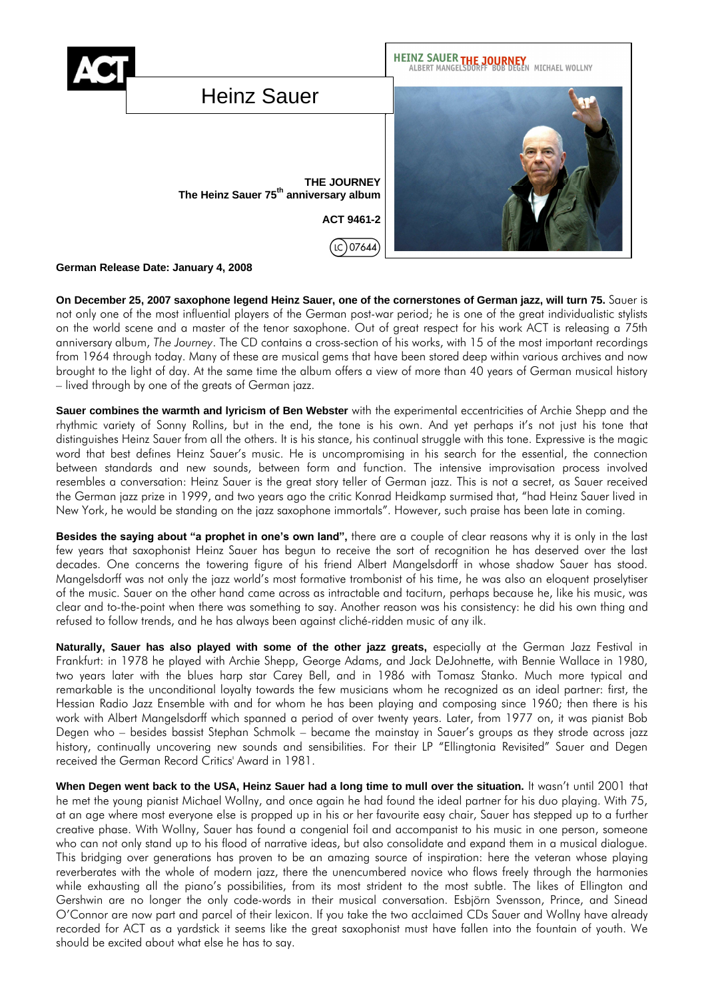

**German Release Date: January 4, 2008**

**On December 25, 2007 saxophone legend Heinz Sauer, one of the cornerstones of German jazz, will turn 75.** Sauer is not only one of the most influential players of the German post-war period; he is one of the great individualistic stylists on the world scene and a master of the tenor saxophone. Out of great respect for his work ACT is releasing a 75th anniversary album, *The Journey*. The CD contains a cross-section of his works, with 15 of the most important recordings from 1964 through today. Many of these are musical gems that have been stored deep within various archives and now brought to the light of day. At the same time the album offers a view of more than 40 years of German musical history – lived through by one of the greats of German jazz.

**Sauer combines the warmth and lyricism of Ben Webster** with the experimental eccentricities of Archie Shepp and the rhythmic variety of Sonny Rollins, but in the end, the tone is his own. And yet perhaps it's not just his tone that distinguishes Heinz Sauer from all the others. It is his stance, his continual struggle with this tone. Expressive is the magic word that best defines Heinz Sauer's music. He is uncompromising in his search for the essential, the connection between standards and new sounds, between form and function. The intensive improvisation process involved resembles a conversation: Heinz Sauer is the great story teller of German jazz. This is not a secret, as Sauer received the German jazz prize in 1999, and two years ago the critic Konrad Heidkamp surmised that, "had Heinz Sauer lived in New York, he would be standing on the jazz saxophone immortals". However, such praise has been late in coming.

**Besides the saying about "a prophet in one's own land",** there are a couple of clear reasons why it is only in the last few years that saxophonist Heinz Sauer has begun to receive the sort of recognition he has deserved over the last decades. One concerns the towering figure of his friend Albert Mangelsdorff in whose shadow Sauer has stood. Mangelsdorff was not only the jazz world's most formative trombonist of his time, he was also an eloquent proselytiser of the music. Sauer on the other hand came across as intractable and taciturn, perhaps because he, like his music, was clear and to-the-point when there was something to say. Another reason was his consistency: he did his own thing and refused to follow trends, and he has always been against cliché-ridden music of any ilk.

**Naturally, Sauer has also played with some of the other jazz greats,** especially at the German Jazz Festival in Frankfurt: in 1978 he played with Archie Shepp, George Adams, and Jack DeJohnette, with Bennie Wallace in 1980, two years later with the blues harp star Carey Bell, and in 1986 with Tomasz Stanko. Much more typical and remarkable is the unconditional loyalty towards the few musicians whom he recognized as an ideal partner: first, the Hessian Radio Jazz Ensemble with and for whom he has been playing and composing since 1960; then there is his work with Albert Mangelsdorff which spanned a period of over twenty years. Later, from 1977 on, it was pianist Bob Degen who – besides bassist Stephan Schmolk – became the mainstay in Sauer's groups as they strode across jazz history, continually uncovering new sounds and sensibilities. For their LP "Ellingtonia Revisited" Sauer and Degen received the German Record Critics' Award in 1981.

**When Degen went back to the USA, Heinz Sauer had a long time to mull over the situation.** It wasn't until 2001 that he met the young pianist Michael Wollny, and once again he had found the ideal partner for his duo playing. With 75, at an age where most everyone else is propped up in his or her favourite easy chair, Sauer has stepped up to a further creative phase. With Wollny, Sauer has found a congenial foil and accompanist to his music in one person, someone who can not only stand up to his flood of narrative ideas, but also consolidate and expand them in a musical dialogue. This bridging over generations has proven to be an amazing source of inspiration: here the veteran whose playing reverberates with the whole of modern jazz, there the unencumbered novice who flows freely through the harmonies while exhausting all the piano's possibilities, from its most strident to the most subtle. The likes of Ellington and Gershwin are no longer the only code-words in their musical conversation. Esbjörn Svensson, Prince, and Sinead O'Connor are now part and parcel of their lexicon. If you take the two acclaimed CDs Sauer and Wollny have already recorded for ACT as a yardstick it seems like the great saxophonist must have fallen into the fountain of youth. We should be excited about what else he has to say.